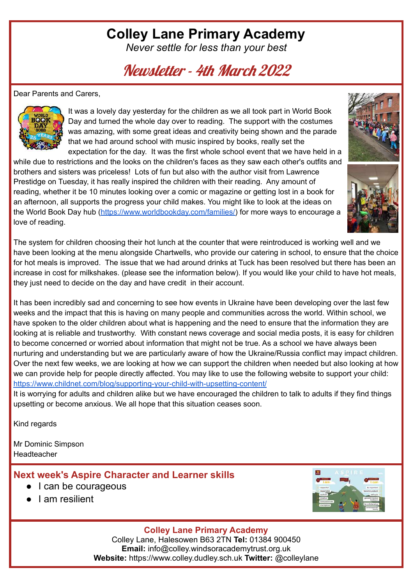# **Colley Lane Primary Academy**

*Never settle for less than your best*

Newsletter - 4th March 2022

Dear Parents and Carers,



It was a lovely day yesterday for the children as we all took part in World Book Day and turned the whole day over to reading. The support with the costumes was amazing, with some great ideas and creativity being shown and the parade that we had around school with music inspired by books, really set the expectation for the day. It was the first whole school event that we have held in a

while due to restrictions and the looks on the children's faces as they saw each other's outfits and brothers and sisters was priceless! Lots of fun but also with the author visit from Lawrence Prestidge on Tuesday, it has really inspired the children with their reading. Any amount of reading, whether it be 10 minutes looking over a comic or magazine or getting lost in a book for an afternoon, all supports the progress your child makes. You might like to look at the ideas on the World Book Day hub [\(https://www.worldbookday.com/families/\)](https://www.worldbookday.com/families/) for more ways to encourage a love of reading.



It has been incredibly sad and concerning to see how events in Ukraine have been developing over the last few weeks and the impact that this is having on many people and communities across the world. Within school, we have spoken to the older children about what is happening and the need to ensure that the information they are looking at is reliable and trustworthy. With constant news coverage and social media posts, it is easy for children to become concerned or worried about information that might not be true. As a school we have always been nurturing and understanding but we are particularly aware of how the Ukraine/Russia conflict may impact children. Over the next few weeks, we are looking at how we can support the children when needed but also looking at how we can provide help for people directly affected. You may like to use the following website to support your child: <https://www.childnet.com/blog/supporting-your-child-with-upsetting-content/>

It is worrying for adults and children alike but we have encouraged the children to talk to adults if they find things upsetting or become anxious. We all hope that this situation ceases soon.

Kind regards

Mr Dominic Simpson Headteacher

### **Next week's Aspire Character and Learner skills**

- I can be courageous
- I am resilient



### **Colley Lane Primary Academy**

Colley Lane, Halesowen B63 2TN **Tel:** 01384 900450 **Email:** info@colley.windsoracademytrust.org.uk **Website:** https://www.colley.dudley.sch.uk **Twitter:** @colleylane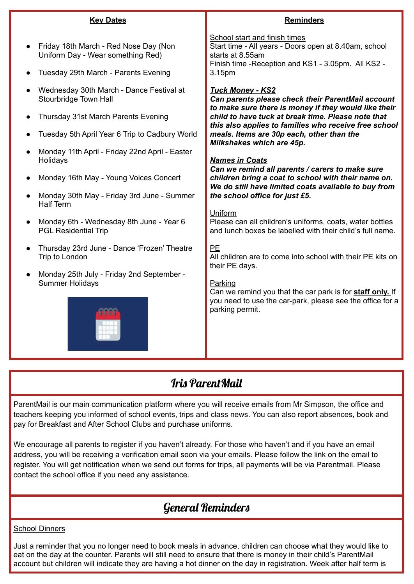|           | <b>Key Dates</b>                                                                                                                                                       | <b>Reminders</b>                                                                                                                                                                                                                                                                                                              |  |  |
|-----------|------------------------------------------------------------------------------------------------------------------------------------------------------------------------|-------------------------------------------------------------------------------------------------------------------------------------------------------------------------------------------------------------------------------------------------------------------------------------------------------------------------------|--|--|
|           | Friday 18th March - Red Nose Day (Non<br>Uniform Day - Wear something Red)<br>Tuesday 29th March - Parents Evening                                                     | School start and finish times<br>Start time - All years - Doors open at 8.40am, school<br>starts at 8.55am<br>Finish time - Reception and KS1 - 3.05pm. All KS2 -<br>3.15pm                                                                                                                                                   |  |  |
|           | Wednesday 30th March - Dance Festival at<br>Stourbridge Town Hall<br>Thursday 31st March Parents Evening<br>Tuesday 5th April Year 6 Trip to Cadbury World             | <b>Tuck Money - KS2</b><br>Can parents please check their ParentMail account<br>to make sure there is money if they would like their<br>child to have tuck at break time. Please note that<br>this also applies to families who receive free school<br>meals. Items are 30p each, other than the<br>Milkshakes which are 45p. |  |  |
| $\bullet$ | Monday 11th April - Friday 22nd April - Easter<br>Holidays<br>Monday 16th May - Young Voices Concert<br>Monday 30th May - Friday 3rd June - Summer<br><b>Half Term</b> | <b>Names in Coats</b><br>Can we remind all parents / carers to make sure<br>children bring a coat to school with their name on.<br>We do still have limited coats available to buy from<br>the school office for just £5.<br>Uniform                                                                                          |  |  |
| $\bullet$ | Monday 6th - Wednesday 8th June - Year 6<br><b>PGL Residential Trip</b>                                                                                                | Please can all children's uniforms, coats, water bottles<br>and lunch boxes be labelled with their child's full name.                                                                                                                                                                                                         |  |  |
|           | Thursday 23rd June - Dance 'Frozen' Theatre<br>Trip to London                                                                                                          | <b>PE</b><br>All children are to come into school with their PE kits on<br>their PE days.                                                                                                                                                                                                                                     |  |  |
|           | Monday 25th July - Friday 2nd September -<br><b>Summer Holidays</b>                                                                                                    | Parking<br>Can we remind you that the car park is for staff only. If<br>you need to use the car-park, please see the office for a<br>parking permit.                                                                                                                                                                          |  |  |

### Iris ParentMail

ParentMail is our main communication platform where you will receive emails from Mr Simpson, the office and teachers keeping you informed of school events, trips and class news. You can also report absences, book and pay for Breakfast and After School Clubs and purchase uniforms.

We encourage all parents to register if you haven't already. For those who haven't and if you have an email address, you will be receiving a verification email soon via your emails. Please follow the link on the email to register. You will get notification when we send out forms for trips, all payments will be via Parentmail. Please contact the school office if you need any assistance.

## General Reminders

#### School Dinners

Just a reminder that you no longer need to book meals in advance, children can choose what they would like to eat on the day at the counter. Parents will still need to ensure that there is money in their child's ParentMail account but children will indicate they are having a hot dinner on the day in registration. Week after half term is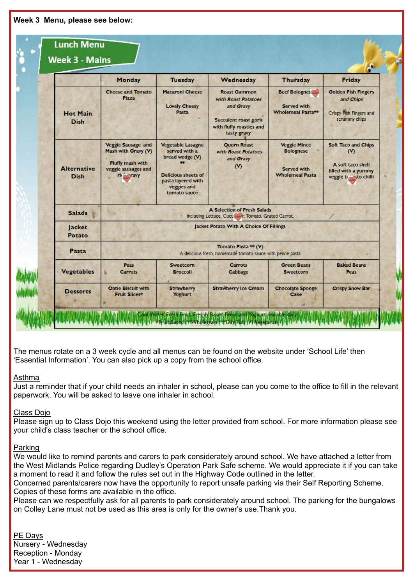| <b>Lunch Menu</b><br><b>Week 3 - Mains</b> |                                                                                                         |                                                                                                                                                 |                                                                                                                            |                                                                                  | $\bullet$                                                                                      |  |  |
|--------------------------------------------|---------------------------------------------------------------------------------------------------------|-------------------------------------------------------------------------------------------------------------------------------------------------|----------------------------------------------------------------------------------------------------------------------------|----------------------------------------------------------------------------------|------------------------------------------------------------------------------------------------|--|--|
|                                            | Monday                                                                                                  | <b>Tuesday</b>                                                                                                                                  | Wednesday                                                                                                                  | <b>Thursday</b>                                                                  | Friday                                                                                         |  |  |
| <b>Hot Main</b><br><b>Dish</b>             | <b>Cheese and Tomato</b><br>Pizza                                                                       | <b>Macaroni Cheese</b><br><b>Lovely Cheesy</b><br>Pasta                                                                                         | <b>Roast Gammon</b><br>with Roast Potatoes<br>and Gravy<br>Succulent roast pork<br>with fluffy roasties and<br>tasty gravy | <b>Beef Bolognes</b><br>Served with<br>Wholemeal Pasta**                         | <b>Golden Fish Fingers</b><br>and Chips<br>Crispy Fish Fingers and<br>scrummy chips            |  |  |
| <b>Alternative</b><br><b>Dish</b>          | Veggie Sausage and<br>Mash with Gravy (V)<br>Fluffy mash with<br>veggie sausages and<br>ri <b>Fravy</b> | <b>Vegetable Lasagne</b><br>served with a<br>bread wedge (V)<br><b>Delicious sheets of</b><br>pasta layered with<br>veggies and<br>tomato sauce | Quorn Roast<br>with Roast Potatoes<br>and Gravy<br>$\infty$                                                                | <b>Veggie Mince</b><br><b>Bolognese</b><br>Served with<br><b>Wholemeal Pasta</b> | Soft Taco and Chips<br>$o$<br>A soft taco shell<br>filled with a yummy<br>veggie to sto chilli |  |  |
| <b>Salads</b>                              | A Selection of Fresh Salads<br>Including Lettuce, Cucu  Tomato, Grated Carrot.                          |                                                                                                                                                 |                                                                                                                            |                                                                                  |                                                                                                |  |  |
| Jacket<br>Potato                           | Jacket Potato With A Choice Of Fillings                                                                 |                                                                                                                                                 |                                                                                                                            |                                                                                  |                                                                                                |  |  |
| Pasta                                      | Tomato Pasta ** (V)<br>A delicious fresh, homemade tomato sauce with penne pasta                        |                                                                                                                                                 |                                                                                                                            |                                                                                  |                                                                                                |  |  |
| <b>Vegetables</b>                          | Peas<br><b>Carrots</b>                                                                                  | <b>Sweetcorn</b><br><b>Broccoli</b>                                                                                                             | <b>Carrots</b><br>Cabbage                                                                                                  | <b>Green Beans</b><br><b>Sweetcorn</b>                                           | <b>Baked Beans</b><br>Peas                                                                     |  |  |
| <b>Desserts</b>                            | <b>Oatie Biscuit with</b><br><b>Fruit Slices*</b>                                                       | <b>Strawberry</b><br><b>Yoghurt</b>                                                                                                             | <b>Strawberry Ice Cream</b>                                                                                                | <b>Chocolate Sponge</b><br>Cake                                                  | <b>Crispy Snow Bar</b>                                                                         |  |  |

The menus rotate on a 3 week cycle and all menus can be found on the website under 'School Life' then 'Essential Information'. You can also pick up a copy from the school office.

#### Asthma

Just a reminder that if your child needs an inhaler in school, please can you come to the office to fill in the relevant paperwork. You will be asked to leave one inhaler in school.

#### Class Dojo

Please sign up to Class Dojo this weekend using the letter provided from school. For more information please see your child's class teacher or the school office.

#### Parking

We would like to remind parents and carers to park considerately around school. We have attached a letter from the West Midlands Police regarding Dudley's Operation Park Safe scheme. We would appreciate it if you can take a moment to read it and follow the rules set out in the Highway Code outlined in the letter.

Concerned parents/carers now have the opportunity to report unsafe parking via their Self Reporting Scheme. Copies of these forms are available in the office.

Please can we respectfully ask for all parents to park considerately around school. The parking for the bungalows on Colley Lane must not be used as this area is only for the owner's use.Thank you.

#### PE Days Nursery - Wednesday Reception - Monday Year 1 - Wednesday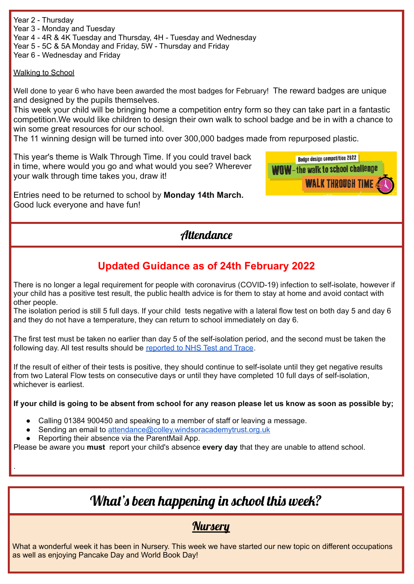Year 2 - Thursday Year 3 - Monday and Tuesday Year 4 - 4R & 4K Tuesday and Thursday, 4H - Tuesday and Wednesday

Year 5 - 5C & 5A Monday and Friday, 5W - Thursday and Friday

Year 6 - Wednesday and Friday

#### Walking to School

Well done to year 6 who have been awarded the most badges for February! The reward badges are unique and designed by the pupils themselves.

This week your child will be bringing home a competition entry form so they can take part in a fantastic competition.We would like children to design their own walk to school badge and be in with a chance to win some great resources for our school.

The 11 winning design will be turned into over 300,000 badges made from repurposed plastic.

This year's theme is Walk Through Time. If you could travel back in time, where would you go and what would you see? Wherever your walk through time takes you, draw it!

Entries need to be returned to school by **Monday 14th March.** Good luck everyone and have fun!

**Badge design competition 2022 WOW-the walk to school challenge WALK THROUGH TIME** 

**Attendance** 

### **Updated Guidance as of 24th February 2022**

There is no longer a legal requirement for people with coronavirus (COVID-19) infection to self-isolate, however if your child has a positive test result, the public health advice is for them to stay at home and avoid contact with other people.

The isolation period is still 5 full days. If your child tests negative with a lateral flow test on both day 5 and day 6 and they do not have a temperature, they can return to school immediately on day 6.

The first test must be taken no earlier than day 5 of the self-isolation period, and the second must be taken the following day. All test results should be [reported](https://www.gov.uk/report-covid19-result?utm_source=14%20January%202022%20C19&utm_medium=Daily%20Email%20C19&utm_campaign=DfE%20C19) to NHS Test and Trace.

If the result of either of their tests is positive, they should continue to self-isolate until they get negative results from two Lateral Flow tests on consecutive days or until they have completed 10 full days of self-isolation, whichever is earliest.

If your child is going to be absent from school for any reason please let us know as soon as possible by;

- Calling 01384 900450 and speaking to a member of staff or leaving a message.
- Sending an email to [attendance@colley.windsoracademytrust.org.uk](mailto:attendance@colley.windsoracademytrust.org.uk)
- Reporting their absence via the ParentMail App.

.

Please be aware you **must** report your child's absence **every day** that they are unable to attend school.

# What's been happening in school this week?

### **Nursery**

What a wonderful week it has been in Nursery. This week we have started our new topic on different occupations as well as enjoying Pancake Day and World Book Day!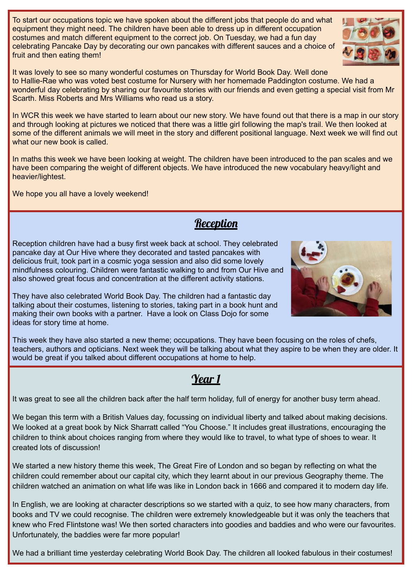To start our occupations topic we have spoken about the different jobs that people do and what equipment they might need. The children have been able to dress up in different occupation costumes and match different equipment to the correct job. On Tuesday, we had a fun day celebrating Pancake Day by decorating our own pancakes with different sauces and a choice of fruit and then eating them!

It was lovely to see so many wonderful costumes on Thursday for World Book Day. Well done to Hallie-Rae who was voted best costume for Nursery with her homemade Paddington costume. We had a wonderful day celebrating by sharing our favourite stories with our friends and even getting a special visit from Mr Scarth. Miss Roberts and Mrs Williams who read us a story.

In WCR this week we have started to learn about our new story. We have found out that there is a map in our story and through looking at pictures we noticed that there was a little girl following the map's trail. We then looked at some of the different animals we will meet in the story and different positional language. Next week we will find out what our new book is called.

In maths this week we have been looking at weight. The children have been introduced to the pan scales and we have been comparing the weight of different objects. We have introduced the new vocabulary heavy/light and heavier/lightest.

**Reception** 

We hope you all have a lovely weekend!

Reception children have had a busy first week back at school. They celebrated pancake day at Our Hive where they decorated and tasted pancakes with delicious fruit, took part in a cosmic yoga session and also did some lovely mindfulness colouring. Children were fantastic walking to and from Our Hive and also showed great focus and concentration at the different activity stations.

They have also celebrated World Book Day. The children had a fantastic day talking about their costumes, listening to stories, taking part in a book hunt and making their own books with a partner. Have a look on Class Dojo for some ideas for story time at home.

This week they have also started a new theme; occupations. They have been focusing on the roles of chefs, teachers, authors and opticians. Next week they will be talking about what they aspire to be when they are older. It would be great if you talked about different occupations at home to help.

## Year 1

It was great to see all the children back after the half term holiday, full of energy for another busy term ahead.

We began this term with a British Values day, focussing on individual liberty and talked about making decisions. We looked at a great book by Nick Sharratt called "You Choose." It includes great illustrations, encouraging the children to think about choices ranging from where they would like to travel, to what type of shoes to wear. It created lots of discussion!

We started a new history theme this week, The Great Fire of London and so began by reflecting on what the children could remember about our capital city, which they learnt about in our previous Geography theme. The children watched an animation on what life was like in London back in 1666 and compared it to modern day life.

In English, we are looking at character descriptions so we started with a quiz, to see how many characters, from books and TV we could recognise. The children were extremely knowledgeable but it was only the teachers that knew who Fred Flintstone was! We then sorted characters into goodies and baddies and who were our favourites. Unfortunately, the baddies were far more popular!

We had a brilliant time yesterday celebrating World Book Day. The children all looked fabulous in their costumes!



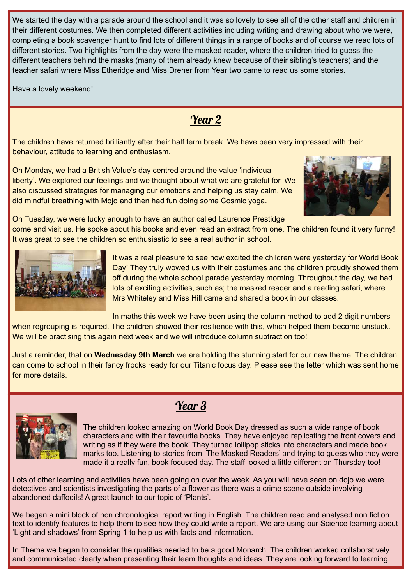We started the day with a parade around the school and it was so lovely to see all of the other staff and children in their different costumes. We then completed different activities including writing and drawing about who we were, completing a book scavenger hunt to find lots of different things in a range of books and of course we read lots of different stories. Two highlights from the day were the masked reader, where the children tried to guess the different teachers behind the masks (many of them already knew because of their sibling's teachers) and the teacher safari where Miss Etheridge and Miss Dreher from Year two came to read us some stories.

Have a lovely weekend!

## Year 2

The children have returned brilliantly after their half term break. We have been very impressed with their behaviour, attitude to learning and enthusiasm.

On Monday, we had a British Value's day centred around the value 'individual liberty'. We explored our feelings and we thought about what we are grateful for. We also discussed strategies for managing our emotions and helping us stay calm. We did mindful breathing with Mojo and then had fun doing some Cosmic yoga.



On Tuesday, we were lucky enough to have an author called Laurence Prestidge

come and visit us. He spoke about his books and even read an extract from one. The children found it very funny! It was great to see the children so enthusiastic to see a real author in school.



It was a real pleasure to see how excited the children were yesterday for World Book Day! They truly wowed us with their costumes and the children proudly showed them off during the whole school parade yesterday morning. Throughout the day, we had lots of exciting activities, such as; the masked reader and a reading safari, where Mrs Whiteley and Miss Hill came and shared a book in our classes.

In maths this week we have been using the column method to add 2 digit numbers when regrouping is required. The children showed their resilience with this, which helped them become unstuck. We will be practising this again next week and we will introduce column subtraction too!

Just a reminder, that on **Wednesday 9th March** we are holding the stunning start for our new theme. The children can come to school in their fancy frocks ready for our Titanic focus day. Please see the letter which was sent home for more details.



## Year 3

The children looked amazing on World Book Day dressed as such a wide range of book characters and with their favourite books. They have enjoyed replicating the front covers and writing as if they were the book! They turned lollipop sticks into characters and made book marks too. Listening to stories from 'The Masked Readers' and trying to guess who they were made it a really fun, book focused day. The staff looked a little different on Thursday too!

Lots of other learning and activities have been going on over the week. As you will have seen on dojo we were detectives and scientists investigating the parts of a flower as there was a crime scene outside involving abandoned daffodils! A great launch to our topic of 'Plants'.

We began a mini block of non chronological report writing in English. The children read and analysed non fiction text to identify features to help them to see how they could write a report. We are using our Science learning about 'Light and shadows' from Spring 1 to help us with facts and information.

In Theme we began to consider the qualities needed to be a good Monarch. The children worked collaboratively and communicated clearly when presenting their team thoughts and ideas. They are looking forward to learning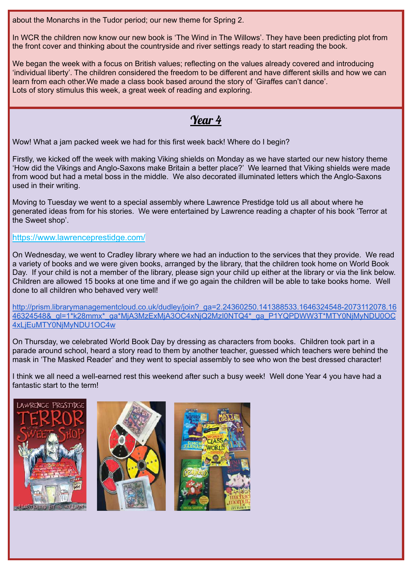about the Monarchs in the Tudor period; our new theme for Spring 2.

In WCR the children now know our new book is 'The Wind in The Willows'. They have been predicting plot from the front cover and thinking about the countryside and river settings ready to start reading the book.

We began the week with a focus on British values; reflecting on the values already covered and introducing 'individual liberty'. The children considered the freedom to be different and have different skills and how we can learn from each other.We made a class book based around the story of 'Giraffes can't dance'. Lots of story stimulus this week, a great week of reading and exploring.

### Year 4

Wow! What a jam packed week we had for this first week back! Where do I begin?

Firstly, we kicked off the week with making Viking shields on Monday as we have started our new history theme 'How did the Vikings and Anglo-Saxons make Britain a better place?' We learned that Viking shields were made from wood but had a metal boss in the middle. We also decorated illuminated letters which the Anglo-Saxons used in their writing.

Moving to Tuesday we went to a special assembly where Lawrence Prestidge told us all about where he generated ideas from for his stories. We were entertained by Lawrence reading a chapter of his book 'Terror at the Sweet shop'.

#### <https://www.lawrenceprestidge.com/>

On Wednesday, we went to Cradley library where we had an induction to the services that they provide. We read a variety of books and we were given books, arranged by the library, that the children took home on World Book Day. If your child is not a member of the library, please sign your child up either at the library or via the link below. Children are allowed 15 books at one time and if we go again the children will be able to take books home. Well done to all children who behaved very well!

[http://prism.librarymanagementcloud.co.uk/dudley/join?\\_ga=2.24360250.141388533.1646324548-2073112078.16](http://prism.librarymanagementcloud.co.uk/dudley/join?_ga=2.24360250.141388533.1646324548-2073112078.1646324548&_gl=1*k28mmx*_ga*MjA3MzExMjA3OC4xNjQ2MzI0NTQ4*_ga_P1YQPDWW3T*MTY0NjMyNDU0OC4xLjEuMTY0NjMyNDU1OC4w) [46324548&\\_gl=1\\*k28mmx\\*\\_ga\\*MjA3MzExMjA3OC4xNjQ2MzI0NTQ4\\*\\_ga\\_P1YQPDWW3T\\*MTY0NjMyNDU0OC](http://prism.librarymanagementcloud.co.uk/dudley/join?_ga=2.24360250.141388533.1646324548-2073112078.1646324548&_gl=1*k28mmx*_ga*MjA3MzExMjA3OC4xNjQ2MzI0NTQ4*_ga_P1YQPDWW3T*MTY0NjMyNDU0OC4xLjEuMTY0NjMyNDU1OC4w) [4xLjEuMTY0NjMyNDU1OC4w](http://prism.librarymanagementcloud.co.uk/dudley/join?_ga=2.24360250.141388533.1646324548-2073112078.1646324548&_gl=1*k28mmx*_ga*MjA3MzExMjA3OC4xNjQ2MzI0NTQ4*_ga_P1YQPDWW3T*MTY0NjMyNDU0OC4xLjEuMTY0NjMyNDU1OC4w)

On Thursday, we celebrated World Book Day by dressing as characters from books. Children took part in a parade around school, heard a story read to them by another teacher, guessed which teachers were behind the mask in 'The Masked Reader' and they went to special assembly to see who won the best dressed character!

I think we all need a well-earned rest this weekend after such a busy week! Well done Year 4 you have had a fantastic start to the term!





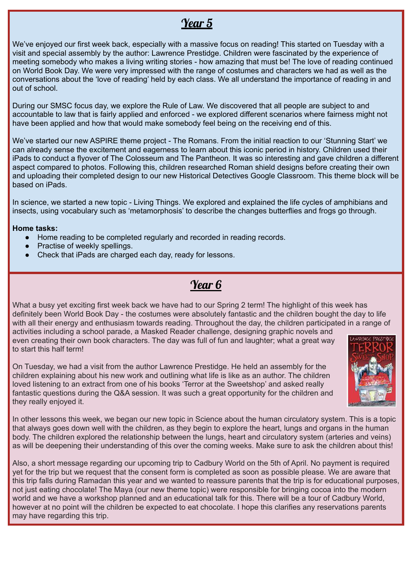### Year 5

We've enjoyed our first week back, especially with a massive focus on reading! This started on Tuesday with a visit and special assembly by the author: Lawrence Prestidge. Children were fascinated by the experience of meeting somebody who makes a living writing stories - how amazing that must be! The love of reading continued on World Book Day. We were very impressed with the range of costumes and characters we had as well as the conversations about the 'love of reading' held by each class. We all understand the importance of reading in and out of school.

During our SMSC focus day, we explore the Rule of Law. We discovered that all people are subject to and accountable to law that is fairly applied and enforced - we explored different scenarios where fairness might not have been applied and how that would make somebody feel being on the receiving end of this.

We've started our new ASPIRE theme project - The Romans. From the initial reaction to our 'Stunning Start' we can already sense the excitement and eagerness to learn about this iconic period in history. Children used their iPads to conduct a flyover of The Colosseum and The Pantheon. It was so interesting and gave children a different aspect compared to photos. Following this, children researched Roman shield designs before creating their own and uploading their completed design to our new Historical Detectives Google Classroom. This theme block will be based on iPads.

In science, we started a new topic - Living Things. We explored and explained the life cycles of amphibians and insects, using vocabulary such as 'metamorphosis' to describe the changes butterflies and frogs go through.

#### **Home tasks:**

to start this half term!

- Home reading to be completed regularly and recorded in reading records.
- Practise of weekly spellings.
- Check that iPads are charged each day, ready for lessons.

### Year 6

What a busy yet exciting first week back we have had to our Spring 2 term! The highlight of this week has definitely been World Book Day - the costumes were absolutely fantastic and the children bought the day to life with all their energy and enthusiasm towards reading. Throughout the day, the children participated in a range of activities including a school parade, a Masked Reader challenge, designing graphic novels and even creating their own book characters. The day was full of fun and laughter; what a great way

On Tuesday, we had a visit from the author Lawrence Prestidge. He held an assembly for the children explaining about his new work and outlining what life is like as an author. The children loved listening to an extract from one of his books 'Terror at the Sweetshop' and asked really fantastic questions during the Q&A session. It was such a great opportunity for the children and they really enjoyed it.



In other lessons this week, we began our new topic in Science about the human circulatory system. This is a topic that always goes down well with the children, as they begin to explore the heart, lungs and organs in the human body. The children explored the relationship between the lungs, heart and circulatory system (arteries and veins) as will be deepening their understanding of this over the coming weeks. Make sure to ask the children about this!

Also, a short message regarding our upcoming trip to Cadbury World on the 5th of April. No payment is required yet for the trip but we request that the consent form is completed as soon as possible please. We are aware that this trip falls during Ramadan this year and we wanted to reassure parents that the trip is for educational purposes, not just eating chocolate! The Maya (our new theme topic) were responsible for bringing cocoa into the modern world and we have a workshop planned and an educational talk for this. There will be a tour of Cadbury World, however at no point will the children be expected to eat chocolate. I hope this clarifies any reservations parents may have regarding this trip.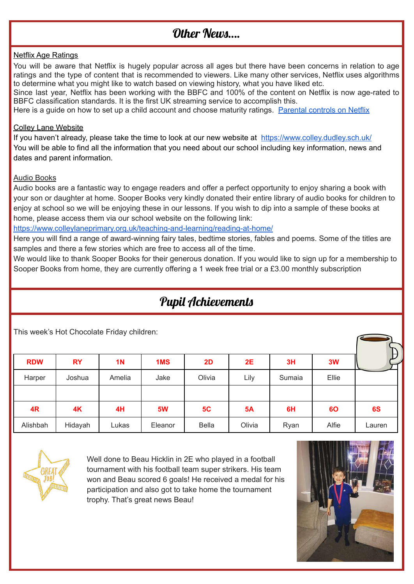# Other News

#### Netflix Age Ratings

You will be aware that Netflix is hugely popular across all ages but there have been concerns in relation to age ratings and the type of content that is recommended to viewers. Like many other services, Netflix uses algorithms to determine what you might like to watch based on viewing history, what you have liked etc.

Since last year, Netflix has been working with the BBFC and 100% of the content on Netflix is now age-rated to BBFC classification standards. It is the first UK streaming service to accomplish this.

Here is a guide on how to set up a child account and choose maturity ratings. [Parental](https://help.netflix.com/en/node/264) controls on Netflix

#### Colley Lane Website

If you haven't already, please take the time to look at our new website at <https://www.colley.dudley.sch.uk/> You will be able to find all the information that you need about our school including key information, news and dates and parent information.

#### Audio Books

Audio books are a fantastic way to engage readers and offer a perfect opportunity to enjoy sharing a book with your son or daughter at home. Sooper Books very kindly donated their entire library of audio books for children to enjoy at school so we will be enjoying these in our lessons. If you wish to dip into a sample of these books at home, please access them via our school website on the following link:

<https://www.colleylaneprimary.org.uk/teaching-and-learning/reading-at-home/>

Here you will find a range of award-winning fairy tales, bedtime stories, fables and poems. Some of the titles are samples and there a few stories which are free to access all of the time.

We would like to thank Sooper Books for their generous donation. If you would like to sign up for a membership to Sooper Books from home, they are currently offering a 1 week free trial or a £3.00 monthly subscription

# Pupil Achievements

This week's Hot Chocolate Friday children:

|            |           |           |           |              |           |        |       | H      |
|------------|-----------|-----------|-----------|--------------|-----------|--------|-------|--------|
| <b>RDW</b> | <b>RY</b> | <b>1N</b> | 1MS       | 2D           | 2E        | 3H     | 3W    |        |
| Harper     | Joshua    | Amelia    | Jake      | Olivia       | Lily      | Sumaia | Ellie |        |
|            |           |           |           |              |           |        |       |        |
| 4R         | 4K        | 4H        | <b>5W</b> | 5C           | <b>5A</b> | 6H     | 60    | 6S     |
| Alishbah   | Hidayah   | Lukas     | Eleanor   | <b>Bella</b> | Olivia    | Ryan   | Alfie | Lauren |



Well done to Beau Hicklin in 2E who played in a football tournament with his football team super strikers. His team won and Beau scored 6 goals! He received a medal for his participation and also got to take home the tournament trophy. That's great news Beau!

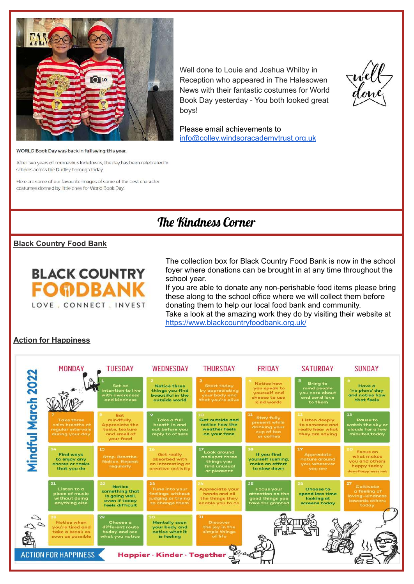

Well done to Louie and Joshua Whilby in Reception who appeared in The Halesowen News with their fantastic costumes for World Book Day yesterday - You both looked great boys!



Please email achievements to [info@colley.windsoracademytrust.org.uk](mailto:info@colley.windsoracademytrust.org.uk)

#### WORLD Book Day was back in full swing this year.

After two years of coronavirus lockdowns, the day has been celebrated in schools across the Dudley borough today.

Here are some of our favourite images of some of the best character costumes donned by little ones for World Book Day.

### The Kindness Corner

#### **Black Country Food Bank**



The collection box for Black Country Food Bank is now in the school foyer where donations can be brought in at any time throughout the school year.

If you are able to donate any non-perishable food items please bring these along to the school office where we will collect them before donating them to help our local food bank and community. Take a look at the amazing work they do by visiting their website at <https://www.blackcountryfoodbank.org.uk/>

#### **Action for Happiness**

|                                                                 | <b>MONDAY</b>                                                                | <b>TUESDAY</b>                                                                            | WEDNESDAY                                                                        | <b>THURSDAY</b>                                                             | <b>FRIDAY</b>                                                                      | <b>SATURDAY</b>                                                                | <b>SUNDAY</b>                                                                 |  |
|-----------------------------------------------------------------|------------------------------------------------------------------------------|-------------------------------------------------------------------------------------------|----------------------------------------------------------------------------------|-----------------------------------------------------------------------------|------------------------------------------------------------------------------------|--------------------------------------------------------------------------------|-------------------------------------------------------------------------------|--|
|                                                                 |                                                                              | Set an<br>intention to live<br>with awareness<br>and kindness                             | <b>Notice three</b><br>things you find<br>beautiful in the<br>outside world      | <b>Start today</b><br>by appreciating<br>your body and<br>that you're alive | Notice how<br>you speak to<br>yourself and<br>choose to use<br>kind words          | <b>Bring to</b><br>mind people<br>you care about<br>and send love<br>to them   | <b>Have a</b><br>'no plans' day<br>and notice how<br>that feels               |  |
| Mindful March 2022                                              | <b>Take three</b><br>calm breaths at<br>regular intervals<br>during your day | Eat<br>mindfully.<br><b>Appreciate the</b><br>taste, texture<br>and smell of<br>your food | Take a full<br>breath in and<br>out before you<br>reply to others                | <b>Get outside and</b><br>notice how the<br>weather feels<br>on your face   | 11<br>Stay fully<br>present while<br>drinking your<br>cup of tea<br>or coffee      | 12<br>Listen deeply<br>to someone and<br>really hear what<br>they are saying   | 13<br>Pause to<br>watch the sky or<br>clouds for a few<br>minutes today       |  |
|                                                                 | 14.<br><b>Find ways</b><br>to enjoy any<br>chores or tasks<br>that you do    | <b>15</b><br>Stop, Breathe.<br><b>Notice, Repeat</b><br>regularly                         | Get really<br>absorbed with<br>an interesting or<br>creative activity            | Look around<br>and spot three<br>things you<br>find unusual<br>or pleasant  | 18<br>If you find<br>yourself rushing.<br>make an effort<br>to slow down           | 19<br><b>Appreciate</b><br>nature around<br>you, wherever<br>you are           | Focus on<br>what makes<br>you and others<br>happy today<br>dayafhappiness.net |  |
|                                                                 | 21<br>Listen to a<br>piece of music<br>without doing<br>anything else        | <b>Notice</b><br>something that<br>is going well.<br>even if today<br>feels difficult     | 23<br>Tune into your<br>feelings, without<br>judging or trying<br>to change them | Appreciate your<br>hands and all<br>the things they<br>enable you to do     | 25<br><b>Focus your</b><br>attention on the<br>good things you<br>take for granted | 26 <sub>1</sub><br>Choose to<br>spend less time<br>looking at<br>screens today | 27<br>Cultivate<br>a feeling of<br>loving-kindness<br>towards others<br>today |  |
| $\mathcal{Q}$                                                   | Notice when<br>vou're tired and<br>take a break as<br>soon as possible       | 29<br>Choose a<br>different route<br>today and see<br>what you notice                     | 30.<br><b>Mentally scan</b><br>your body and<br>notice what it<br>is feeling     | 31<br><b>Discover</b><br>the joy in the<br>simple things<br>of life         |                                                                                    |                                                                                |                                                                               |  |
| O<br><b>ACTION FOR HAPPINESS</b><br>Happier · Kinder · Together |                                                                              |                                                                                           |                                                                                  |                                                                             |                                                                                    |                                                                                |                                                                               |  |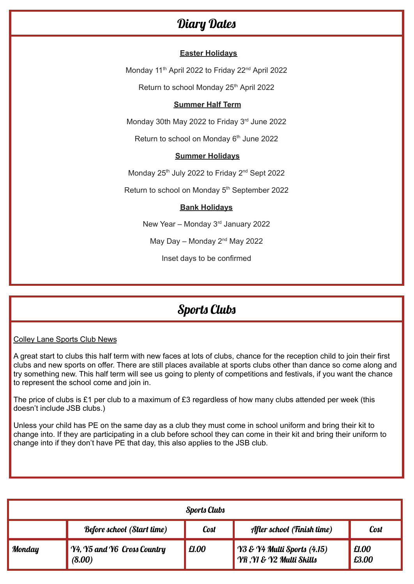### Diary Dates

#### **Easter Holidays**

Monday 11<sup>th</sup> April 2022 to Friday 22<sup>nd</sup> April 2022

Return to school Monday 25<sup>th</sup> April 2022

#### **Summer Half Term**

Monday 30th May 2022 to Friday 3<sup>rd</sup> June 2022

Return to school on Monday 6<sup>th</sup> June 2022

#### **Summer Holidays**

Monday 25<sup>th</sup> July 2022 to Friday 2<sup>nd</sup> Sept 2022

Return to school on Monday 5<sup>th</sup> September 2022

#### **Bank Holidays**

New Year - Monday 3<sup>rd</sup> January 2022

May Day – Monday  $2<sup>nd</sup>$  May 2022

Inset days to be confirmed

### Sports Clubs

Colley Lane Sports Club News

A great start to clubs this half term with new faces at lots of clubs, chance for the reception child to join their first clubs and new sports on offer. There are still places available at sports clubs other than dance so come along and try something new. This half term will see us going to plenty of competitions and festivals, if you want the chance to represent the school come and join in.

The price of clubs is £1 per club to a maximum of £3 regardless of how many clubs attended per week (this doesn't include JSB clubs.)

Unless your child has PE on the same day as a club they must come in school uniform and bring their kit to change into. If they are participating in a club before school they can come in their kit and bring their uniform to change into if they don't have PE that day, this also applies to the JSB club.

| <b>Sports Clubs</b> |                                       |       |                                                         |                |  |  |  |  |
|---------------------|---------------------------------------|-------|---------------------------------------------------------|----------------|--|--|--|--|
|                     | <b>Before school (Start time)</b>     | Cost  | After school (Finish time)                              | Cost           |  |  |  |  |
| Monday              | Y4, Y5 and Y6 Cross Country<br>(8.00) | £1.00 | Y3 & Y4 Multi Sports (4.15)<br>YR, YI & Y2 Multi Skills | £1.00<br>E3.00 |  |  |  |  |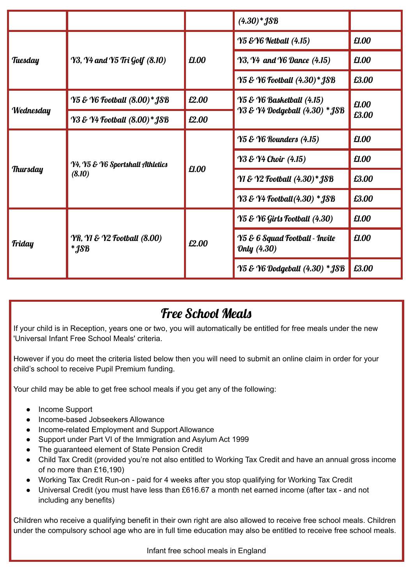|                 |                                                          |       | $(4.30)*$ JSB                                 |                |
|-----------------|----------------------------------------------------------|-------|-----------------------------------------------|----------------|
|                 |                                                          | £1.00 | <b>Y5 &amp; Y6 Netball (4.15)</b>             | £1.00          |
| Tuesday         | <b>Y3, Y4 and Y5 Tri Golf (8.10)</b>                     |       | <b>Y3, Y4 and Y6 Dance (4.15)</b>             | £1.00          |
|                 |                                                          |       | Y5 & Y6 Football (4.30)* JSB                  | £3.00          |
|                 | Y5 & Y6 Football (8.00)* JSB                             | £2.00 | <b>Y5 &amp; Y6 Basketball (4.15)</b>          | £1.00<br>£3.00 |
| Wednesday       | Y3 & Y4 Football (8.00)* JSB                             | £2.00 | Y3 & Y4 Dodgeball (4.30) * JSB                |                |
|                 | Y4, Y5 & Y6 Sportshall Athletics                         | £1.00 | <b>Y5 &amp; Y6 Rounders (4.15)</b>            | £1.00          |
|                 |                                                          |       | <b>Y3 &amp; Y4 Choir</b> (4.15)               | £1.00          |
| <b>Thursday</b> | (8.10)                                                   |       | Y1 & Y2 Football (4.30)* JSB                  | £3.00          |
|                 |                                                          |       | <b>Y3 &amp; Y4 Football (4.30) * JSB</b>      | £3.00          |
|                 |                                                          | £2.00 | Y5 & Y6 Girls Football (4.30)                 | £1.00          |
| Friday          | <b>YR, Y1 &amp; Y2 Football (8.00)</b><br>$*$ <i>JSB</i> |       | Y5 & 6 Squad Football - Invite<br>Only (4.30) | £1.00          |
|                 |                                                          |       | Y5 & Y6 Dodgeball (4.30) * JSB                | £3.00          |

# Free School Meals

If your child is in Reception, years one or two, you will automatically be entitled for free meals under the new 'Universal Infant Free School Meals' criteria.

However if you do meet the criteria listed below then you will need to submit an online claim in order for your child's school to receive Pupil Premium funding.

Your child may be able to get free school meals if you get any of the following:

- Income Support
- Income-based Jobseekers Allowance
- Income-related Employment and Support Allowance
- Support under Part VI of the Immigration and Asylum Act 1999
- The guaranteed element of State Pension Credit
- Child Tax Credit (provided you're not also entitled to Working Tax Credit and have an annual gross income of no more than £16,190)
- Working Tax Credit Run-on paid for 4 weeks after you stop qualifying for Working Tax Credit
- Universal Credit (you must have less than £616.67 a month net earned income (after tax and not including any benefits)

Children who receive a qualifying benefit in their own right are also allowed to receive free school meals. Children under the compulsory school age who are in full time education may also be entitled to receive free school meals.

Infant free school meals in England